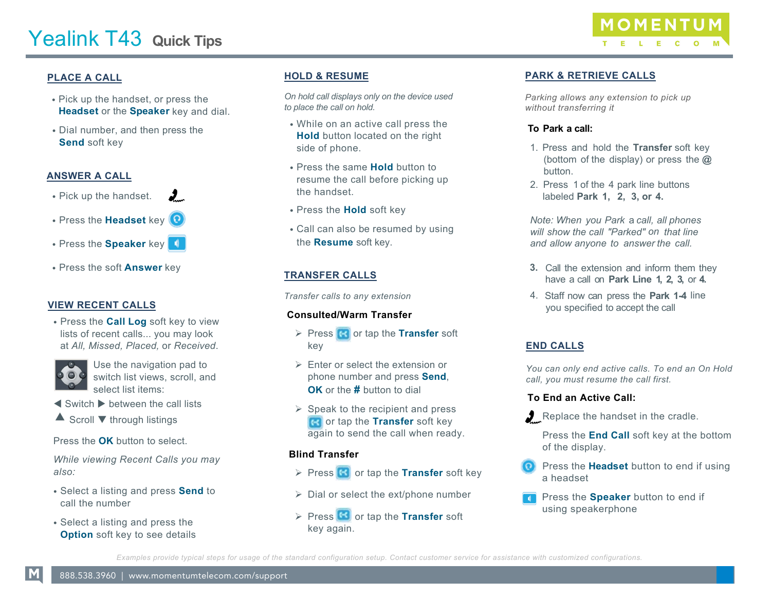

# **PLACE A CALL**

- Pick up the handset, or press the **Headset** or the **Speaker** key and dial.
- Dial number, and then press the **Send** soft key

## **ANSWER A CALL**

- Pick up the handset. **J**
- Press the **Headset** key
- Press the **Speaker** key **1**
- Press the soft **Answer** key

#### **VIEW RECENT CALLS**

• Press the **Call Log** soft key to view lists of recent calls... you may look at *All, Missed, Placed,* or *Received*.



Use the navigation pad to switch list views, scroll, and select list items:

- $\blacktriangleleft$  Switch  $\blacktriangleright$  between the call lists
- $\triangle$  Scroll  $\blacktriangledown$  through listings

Press the **OK** button to select.

*While viewing Recent Calls you may also:* 

- Select a listing and press **Send** to call the number
- Select a listing and press the **Option** soft key to see details

## **HOLD & RESUME**

*On hold call displays only on the device used to place the call on hold.*

- While on an active call press the **Hold** button located on the right side of phone.
- Press the same **Hold** button to resume the call before picking up the handset.
- Press the **Hold** soft key
- Call can also be resumed by using the **Resume** soft key.

# **TRANSFER CALLS**

*Transfer calls to any extension*

## **Consulted/Warm Transfer**

- **Press Contapt the Transfer soft** key
- $\triangleright$  Enter or select the extension or phone number and press **Send**, **OK** or the **#** button to dial
- $\triangleright$  Speak to the recipient and press **R** or tap the **Transfer** soft key again to send the call when ready.

## **Blind Transfer**

- **Press G** or tap the **Transfer** soft key
- $\triangleright$  Dial or select the ext/phone number
- **Press G** or tap the **Transfer** soft key again.

## **PARK & RETRIEVE CALLS**

*Parking allows any extension to pick up without transferring it*

#### **To Park a call:**

- 1. Press and hold the **Transfer** soft key (bottom of the display) or press the **@** button.
- 2. Press 1 of the 4 park line buttons labeled **Park 1, 2, 3, or 4.**

*Note: When you Park* a *call, all phones will show the call "Parked" on that line and allow anyone to answer the call.*

- **3.** Call the extension and inform them they have a call on **Park Line 1, 2, 3,** or **4.**
- 4. Staff now can press the **Park 1-4** line you specified to accept the call

## **END CALLS**

*You can only end active calls. To end an On Hold call, you must resume the call first.* 

#### **To End an Active Call:**

Replace the handset in the cradle.

Press the **End Call** soft key at the bottom of the display.

- Press the **Headset** button to end if using a headset
- Press the **Speaker** button to end if using speakerphone

*Examples provide typical steps for usage of the standard configuration setup. Contact customer service for assistance with customized configurations.*